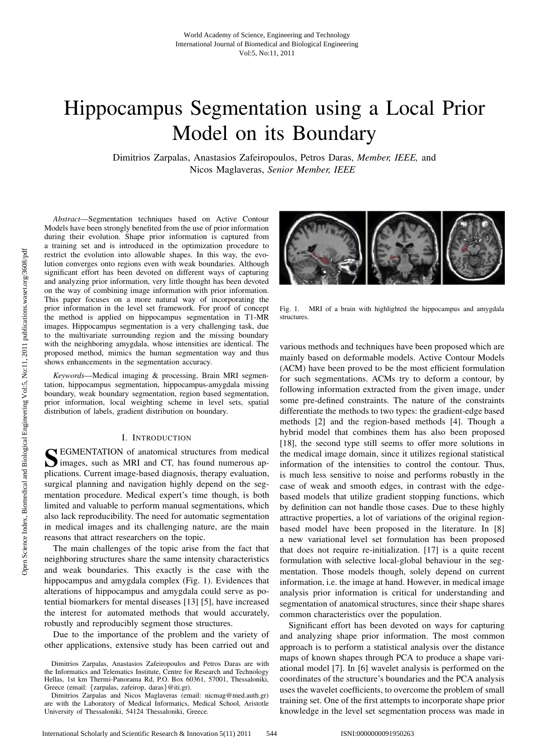# Hippocampus Segmentation using a Local Prior Model on its Boundary

Dimitrios Zarpalas, Anastasios Zafeiropoulos, Petros Daras, *Member, IEEE,* and Nicos Maglaveras, *Senior Member, IEEE*

*Abstract*—Segmentation techniques based on Active Contour Models have been strongly benefited from the use of prior information during their evolution. Shape prior information is captured from a training set and is introduced in the optimization procedure to restrict the evolution into allowable shapes. In this way, the evolution converges onto regions even with weak boundaries. Although significant effort has been devoted on different ways of capturing and analyzing prior information, very little thought has been devoted on the way of combining image information with prior information. This paper focuses on a more natural way of incorporating the prior information in the level set framework. For proof of concept the method is applied on hippocampus segmentation in T1-MR images. Hippocampus segmentation is a very challenging task, due to the multivariate surrounding region and the missing boundary with the neighboring amygdala, whose intensities are identical. The proposed method, mimics the human segmentation way and thus shows enhancements in the segmentation accuracy.

*Keywords*—Medical imaging & processing, Brain MRI segmentation, hippocampus segmentation, hippocampus-amygdala missing boundary, weak boundary segmentation, region based segmentation, prior information, local weighting scheme in level sets, spatial distribution of labels, gradient distribution on boundary.

## I. INTRODUCTION

S EGMENTATION of anatomical structures from medical images, such as MRI and CT, has found numerous ap-**N** EGMENTATION of anatomical structures from medical plications. Current image-based diagnosis, therapy evaluation, surgical planning and navigation highly depend on the segmentation procedure. Medical expert's time though, is both limited and valuable to perform manual segmentations, which also lack reproducibility. The need for automatic segmentation in medical images and its challenging nature, are the main reasons that attract researchers on the topic.

The main challenges of the topic arise from the fact that neighboring structures share the same intensity characteristics and weak boundaries. This exactly is the case with the hippocampus and amygdala complex (Fig. 1). Evidences that alterations of hippocampus and amygdala could serve as potential biomarkers for mental diseases [13] [5], have increased the interest for automated methods that would accurately, robustly and reproducibly segment those structures.

Due to the importance of the problem and the variety of other applications, extensive study has been carried out and



Fig. 1. MRI of a brain with highlighted the hippocampus and amygdala structures.

various methods and techniques have been proposed which are mainly based on deformable models. Active Contour Models (ACM) have been proved to be the most efficient formulation for such segmentations. ACMs try to deform a contour, by following information extracted from the given image, under some pre-defined constraints. The nature of the constraints differentiate the methods to two types: the gradient-edge based methods [2] and the region-based methods [4]. Though a hybrid model that combines them has also been proposed [18], the second type still seems to offer more solutions in the medical image domain, since it utilizes regional statistical information of the intensities to control the contour. Thus, is much less sensitive to noise and performs robustly in the case of weak and smooth edges, in contrast with the edgebased models that utilize gradient stopping functions, which by definition can not handle those cases. Due to these highly attractive properties, a lot of variations of the original regionbased model have been proposed in the literature. In [8] a new variational level set formulation has been proposed that does not require re-initialization. [17] is a quite recent formulation with selective local-global behaviour in the segmentation. Those models though, solely depend on current information, i.e. the image at hand. However, in medical image analysis prior information is critical for understanding and segmentation of anatomical structures, since their shape shares common characteristics over the population.

Significant effort has been devoted on ways for capturing and analyzing shape prior information. The most common approach is to perform a statistical analysis over the distance maps of known shapes through PCA to produce a shape variational model [7]. In [6] wavelet analysis is performed on the coordinates of the structure's boundaries and the PCA analysis uses the wavelet coefficients, to overcome the problem of small training set. One of the first attempts to incorporate shape prior knowledge in the level set segmentation process was made in

Dimitrios Zarpalas, Anastasios Zafeiropoulos and Petros Daras are with the Informatics and Telematics Institute, Centre for Research and Technology Hellas, 1st km Thermi-Panorama Rd, P.O. Box 60361, 57001, Thessaloniki, Greece (email: {zarpalas, zafeirop, daras}@iti.gr).

Dimitrios Zarpalas and Nicos Maglaveras (email: nicmag@med.auth.gr) are with the Laboratory of Medical Informatics, Medical School, Aristotle University of Thessaloniki, 54124 Thessaloniki, Greece.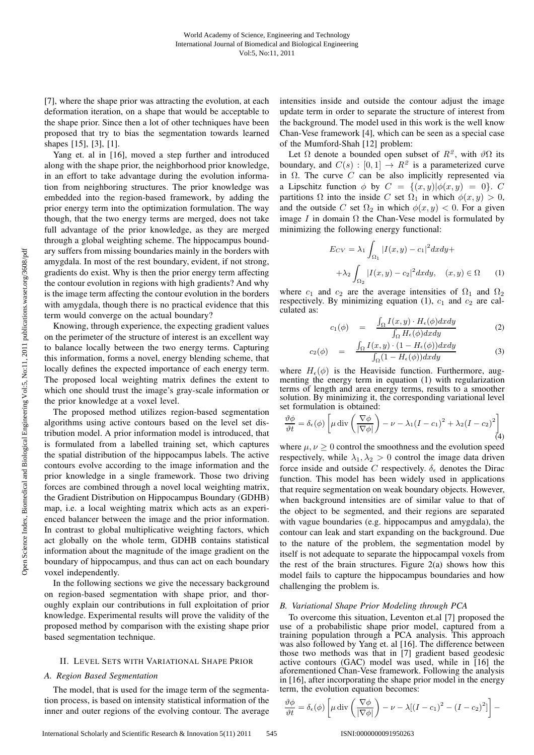[7], where the shape prior was attracting the evolution, at each deformation iteration, on a shape that would be acceptable to the shape prior. Since then a lot of other techniques have been proposed that try to bias the segmentation towards learned shapes [15], [3], [1].

Yang et. al in [16], moved a step further and introduced along with the shape prior, the neighborhood prior knowledge, in an effort to take advantage during the evolution information from neighboring structures. The prior knowledge was embedded into the region-based framework, by adding the prior energy term into the optimization formulation. The way though, that the two energy terms are merged, does not take full advantage of the prior knowledge, as they are merged through a global weighting scheme. The hippocampus boundary suffers from missing boundaries mainly in the borders with amygdala. In most of the rest boundary, evident, if not strong, gradients do exist. Why is then the prior energy term affecting the contour evolution in regions with high gradients? And why is the image term affecting the contour evolution in the borders with amygdala, though there is no practical evidence that this term would converge on the actual boundary?

Knowing, through experience, the expecting gradient values on the perimeter of the structure of interest is an excellent way to balance locally between the two energy terms. Capturing this information, forms a novel, energy blending scheme, that locally defines the expected importance of each energy term. The proposed local weighting matrix defines the extent to which one should trust the image's gray-scale information or the prior knowledge at a voxel level.

The proposed method utilizes region-based segmentation algorithms using active contours based on the level set distribution model. A prior information model is introduced, that is formulated from a labelled training set, which captures the spatial distribution of the hippocampus labels. The active contours evolve according to the image information and the prior knowledge in a single framework. Those two driving forces are combined through a novel local weighting matrix, the Gradient Distribution on Hippocampus Boundary (GDHB) map, i.e. a local weighting matrix which acts as an experienced balancer between the image and the prior information. In contrast to global multiplicative weighting factors, which act globally on the whole term, GDHB contains statistical information about the magnitude of the image gradient on the boundary of hippocampus, and thus can act on each boundary voxel independently.

In the following sections we give the necessary background on region-based segmentation with shape prior, and thoroughly explain our contributions in full exploitation of prior knowledge. Experimental results will prove the validity of the proposed method by comparison with the existing shape prior based segmentation technique.

## II. LEVEL SETS WITH VARIATIONAL SHAPE PRIOR

## *A. Region Based Segmentation*

The model, that is used for the image term of the segmentation process, is based on intensity statistical information of the inner and outer regions of the evolving contour. The average intensities inside and outside the contour adjust the image update term in order to separate the structure of interest from the background. The model used in this work is the well know Chan-Vese framework [4], which can be seen as a special case of the Mumford-Shah [12] problem:

Let  $\Omega$  denote a bounded open subset of  $R^2$ , with  $\vartheta\Omega$  its boundary, and  $C(s) : [0,1] \rightarrow R^2$  is a parameterized curve in  $\Omega$ . The curve  $\hat{C}$  can be also implicitly represented via a Lipschitz function  $\phi$  by  $C = \{(x, y) | \phi(x, y) = 0\}$ . C partitions  $\Omega$  into the inside C set  $\Omega_1$  in which  $\phi(x, y) > 0$ , and the outside C set  $\Omega_2$  in which  $\phi(x, y) < 0$ . For a given image I in domain  $\Omega$  the Chan-Vese model is formulated by minimizing the following energy functional:

$$
E_{CV} = \lambda_1 \int_{\Omega_1} |I(x, y) - c_1|^2 dx dy +
$$

$$
+ \lambda_2 \int_{\Omega_2} |I(x, y) - c_2|^2 dx dy, \quad (x, y) \in \Omega \quad (1)
$$

where  $c_1$  and  $c_2$  are the average intensities of  $\Omega_1$  and  $\Omega_2$ respectively. By minimizing equation (1),  $c_1$  and  $c_2$  are calculated as:

$$
c_1(\phi) = \frac{\int_{\Omega} I(x, y) \cdot H_{\epsilon}(\phi) dx dy}{\int_{\Omega} H_{\epsilon}(\phi) dx dy} \tag{2}
$$

$$
c_2(\phi) = \frac{\int_{\Omega} I(x, y) \cdot (1 - H_{\epsilon}(\phi)) dx dy}{\int_{\Omega} (1 - H_{\epsilon}(\phi)) dx dy}
$$
(3)

where  $H_{\epsilon}(\phi)$  is the Heaviside function. Furthermore, augmenting the energy term in equation (1) with regularization terms of length and area energy terms, results to a smoother solution. By minimizing it, the corresponding variational level set formulation is obtained:

$$
\frac{\vartheta \phi}{\vartheta t} = \delta_{\epsilon}(\phi) \left[ \mu \operatorname{div} \left( \frac{\nabla \phi}{|\nabla \phi|} \right) - \nu - \lambda_1 (I - c_1)^2 + \lambda_2 (I - c_2)^2 \right] \tag{4}
$$

where  $\mu, \nu \geq 0$  control the smoothness and the evolution speed respectively, while  $\lambda_1, \lambda_2 > 0$  control the image data driven force inside and outside C respectively.  $\delta_{\epsilon}$  denotes the Dirac function. This model has been widely used in applications that require segmentation on weak boundary objects. However, when background intensities are of similar value to that of the object to be segmented, and their regions are separated with vague boundaries (e.g. hippocampus and amygdala), the contour can leak and start expanding on the background. Due to the nature of the problem, the segmentation model by itself is not adequate to separate the hippocampal voxels from the rest of the brain structures. Figure  $2(a)$  shows how this model fails to capture the hippocampus boundaries and how challenging the problem is.

## *B. Variational Shape Prior Modeling through PCA*

To overcome this situation, Leventon et.al [7] proposed the use of a probabilistic shape prior model, captured from a training population through a PCA analysis. This approach was also followed by Yang et. al [16]. The difference between those two methods was that in [7] gradient based geodesic active contours (GAC) model was used, while in [16] the aforementioned Chan-Vese framework. Following the analysis in [16], after incorporating the shape prior model in the energy term, the evolution equation becomes:

$$
\frac{\partial \phi}{\partial t} = \delta_{\epsilon}(\phi) \left[ \mu \operatorname{div} \left( \frac{\nabla \phi}{|\nabla \phi|} \right) - \nu - \lambda [(I - c_1)^2 - (I - c_2)^2] \right] -
$$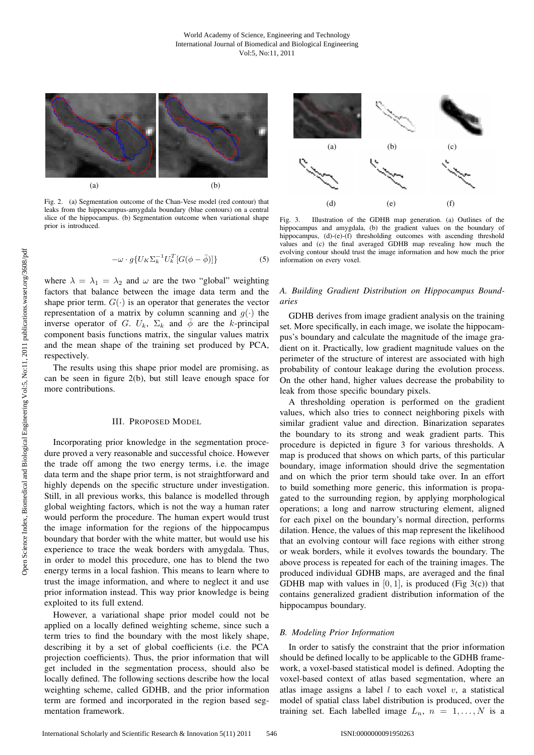

Fig. 2. (a) Segmentation outcome of the Chan-Vese model (red contour) that leaks from the hippocampus-amygdala boundary (blue contours) on a central slice of the hippocampus. (b) Segmentation outcome when variational shape prior is introduced.

$$
-\omega \cdot g\{U_K \Sigma_k^{-1} U_k^T [G(\phi - \bar{\phi})]\}\tag{5}
$$

where  $\lambda = \lambda_1 = \lambda_2$  and  $\omega$  are the two "global" weighting factors that balance between the image data term and the shape prior term.  $G(\cdot)$  is an operator that generates the vector representation of a matrix by column scanning and  $q(\cdot)$  the inverse operator of G.  $U_k$ ,  $\Sigma_k$  and  $\phi$  are the k-principal component basis functions matrix, the singular values matrix and the mean shape of the training set produced by PCA, respectively.

The results using this shape prior model are promising, as can be seen in figure 2(b), but still leave enough space for more contributions.

## III. PROPOSED MODEL

Incorporating prior knowledge in the segmentation procedure proved a very reasonable and successful choice. However the trade off among the two energy terms, i.e. the image data term and the shape prior term, is not straightforward and highly depends on the specific structure under investigation. Still, in all previous works, this balance is modelled through global weighting factors, which is not the way a human rater would perform the procedure. The human expert would trust the image information for the regions of the hippocampus boundary that border with the white matter, but would use his experience to trace the weak borders with amygdala. Thus, in order to model this procedure, one has to blend the two energy terms in a local fashion. This means to learn where to trust the image information, and where to neglect it and use prior information instead. This way prior knowledge is being exploited to its full extend.

However, a variational shape prior model could not be applied on a locally defined weighting scheme, since such a term tries to find the boundary with the most likely shape, describing it by a set of global coefficients (i.e. the PCA projection coefficients). Thus, the prior information that will get included in the segmentation process, should also be locally defined. The following sections describe how the local weighting scheme, called GDHB, and the prior information term are formed and incorporated in the region based segmentation framework.



Fig. 3. Illustration of the GDHB map generation. (a) Outlines of the hippocampus and amygdala, (b) the gradient values on the boundary of hippocampus, (d)-(e)-(f) thresholding outcomes with ascending threshold values and (c) the final averaged GDHB map revealing how much the evolving contour should trust the image information and how much the prior information on every voxel.

## *A. Building Gradient Distribution on Hippocampus Boundaries*

GDHB derives from image gradient analysis on the training set. More specifically, in each image, we isolate the hippocampus's boundary and calculate the magnitude of the image gradient on it. Practically, low gradient magnitude values on the perimeter of the structure of interest are associated with high probability of contour leakage during the evolution process. On the other hand, higher values decrease the probability to leak from those specific boundary pixels.

A thresholding operation is performed on the gradient values, which also tries to connect neighboring pixels with similar gradient value and direction. Binarization separates the boundary to its strong and weak gradient parts. This procedure is depicted in figure 3 for various thresholds. A map is produced that shows on which parts, of this particular boundary, image information should drive the segmentation and on which the prior term should take over. In an effort to build something more generic, this information is propagated to the surrounding region, by applying morphological operations; a long and narrow structuring element, aligned for each pixel on the boundary's normal direction, performs dilation. Hence, the values of this map represent the likelihood that an evolving contour will face regions with either strong or weak borders, while it evolves towards the boundary. The above process is repeated for each of the training images. The produced individual GDHB maps, are averaged and the final GDHB map with values in  $[0, 1]$ , is produced (Fig 3(c)) that contains generalized gradient distribution information of the hippocampus boundary.

## *B. Modeling Prior Information*

In order to satisfy the constraint that the prior information should be defined locally to be applicable to the GDHB framework, a voxel-based statistical model is defined. Adopting the voxel-based context of atlas based segmentation, where an atlas image assigns a label  $l$  to each voxel  $v$ , a statistical model of spatial class label distribution is produced, over the training set. Each labelled image  $L_n$ ,  $n = 1, ..., N$  is a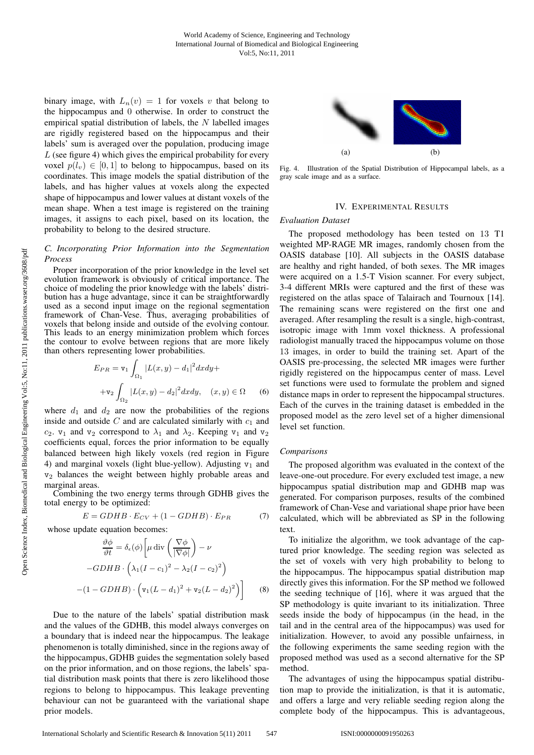binary image, with  $L_n(v) = 1$  for voxels v that belong to the hippocampus and 0 otherwise. In order to construct the empirical spatial distribution of labels, the  $N$  labelled images are rigidly registered based on the hippocampus and their labels' sum is averaged over the population, producing image  $L$  (see figure 4) which gives the empirical probability for every voxel  $p(l_v) \in [0, 1]$  to belong to hippocampus, based on its coordinates. This image models the spatial distribution of the labels, and has higher values at voxels along the expected shape of hippocampus and lower values at distant voxels of the mean shape. When a test image is registered on the training images, it assigns to each pixel, based on its location, the probability to belong to the desired structure.

## *C. Incorporating Prior Information into the Segmentation Process*

Proper incorporation of the prior knowledge in the level set evolution framework is obviously of critical importance. The choice of modeling the prior knowledge with the labels' distribution has a huge advantage, since it can be straightforwardly used as a second input image on the regional segmentation framework of Chan-Vese. Thus, averaging probabilities of voxels that belong inside and outside of the evolving contour. This leads to an energy minimization problem which forces the contour to evolve between regions that are more likely than others representing lower probabilities.

$$
E_{PR} = \mathbf{v}_1 \int_{\Omega_1} |L(x, y) - d_1|^2 dx dy +
$$
  
+
$$
\mathbf{v}_2 \int_{\Omega_2} |L(x, y) - d_2|^2 dx dy, \quad (x, y) \in \Omega \quad (6)
$$

where  $d_1$  and  $d_2$  are now the probabilities of the regions inside and outside  $C$  and are calculated similarly with  $c_1$  and  $c_2$ .  $v_1$  and  $v_2$  correspond to  $\lambda_1$  and  $\lambda_2$ . Keeping  $v_1$  and  $v_2$ coefficients equal, forces the prior information to be equally balanced between high likely voxels (red region in Figure 4) and marginal voxels (light blue-yellow). Adjusting  $v_1$  and  $v<sub>2</sub>$  balances the weight between highly probable areas and marginal areas.

Combining the two energy terms through GDHB gives the total energy to be optimized:

$$
E = GDHB \cdot E_{CV} + (1 - GDHB) \cdot E_{PR} \tag{7}
$$

whose update equation becomes:

$$
\frac{\partial \phi}{\partial t} = \delta_{\epsilon}(\phi) \left[ \mu \operatorname{div} \left( \frac{\nabla \phi}{|\nabla \phi|} \right) - \nu \right]
$$

$$
-GDHB \cdot \left( \lambda_1 (I - c_1)^2 - \lambda_2 (I - c_2)^2 \right)
$$

$$
-(1 - GDHB) \cdot \left( \mathbf{v}_1 (L - d_1)^2 + \mathbf{v}_2 (L - d_2)^2 \right) \right] \tag{8}
$$

Due to the nature of the labels' spatial distribution mask and the values of the GDHB, this model always converges on a boundary that is indeed near the hippocampus. The leakage phenomenon is totally diminished, since in the regions away of the hippocampus, GDHB guides the segmentation solely based on the prior information, and on those regions, the labels' spatial distribution mask points that there is zero likelihood those regions to belong to hippocampus. This leakage preventing behaviour can not be guaranteed with the variational shape prior models.



Fig. 4. Illustration of the Spatial Distribution of Hippocampal labels, as a gray scale image and as a surface.

## IV. EXPERIMENTAL RESULTS

## *Evaluation Dataset*

The proposed methodology has been tested on 13 T1 weighted MP-RAGE MR images, randomly chosen from the OASIS database [10]. All subjects in the OASIS database are healthy and right handed, of both sexes. The MR images were acquired on a 1.5-T Vision scanner. For every subject, 3-4 different MRIs were captured and the first of these was registered on the atlas space of Talairach and Tournoux [14]. The remaining scans were registered on the first one and averaged. After resampling the result is a single, high-contrast, isotropic image with 1mm voxel thickness. A professional radiologist manually traced the hippocampus volume on those 13 images, in order to build the training set. Apart of the OASIS pre-processing, the selected MR images were further rigidly registered on the hippocampus center of mass. Level set functions were used to formulate the problem and signed distance maps in order to represent the hippocampal structures. Each of the curves in the training dataset is embedded in the proposed model as the zero level set of a higher dimensional level set function.

## *Comparisons*

The proposed algorithm was evaluated in the context of the leave-one-out procedure. For every excluded test image, a new hippocampus spatial distribution map and GDHB map was generated. For comparison purposes, results of the combined framework of Chan-Vese and variational shape prior have been calculated, which will be abbreviated as SP in the following text.

To initialize the algorithm, we took advantage of the captured prior knowledge. The seeding region was selected as the set of voxels with very high probability to belong to the hippocampus. The hippocampus spatial distribution map directly gives this information. For the SP method we followed the seeding technique of [16], where it was argued that the SP methodology is quite invariant to its initialization. Three seeds inside the body of hippocampus (in the head, in the tail and in the central area of the hippocampus) was used for initialization. However, to avoid any possible unfairness, in the following experiments the same seeding region with the proposed method was used as a second alternative for the SP method.

The advantages of using the hippocampus spatial distribution map to provide the initialization, is that it is automatic, and offers a large and very reliable seeding region along the complete body of the hippocampus. This is advantageous,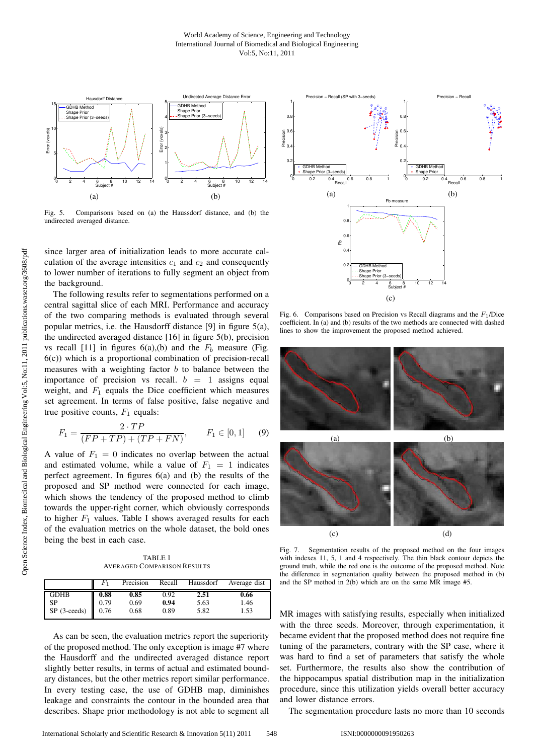

Fig. 5. Comparisons based on (a) the Haussdorf distance, and (b) the undirected averaged distance.

since larger area of initialization leads to more accurate calculation of the average intensities  $c_1$  and  $c_2$  and consequently to lower number of iterations to fully segment an object from the background.

The following results refer to segmentations performed on a central sagittal slice of each MRI. Performance and accuracy of the two comparing methods is evaluated through several popular metrics, i.e. the Hausdorff distance [9] in figure 5(a), the undirected averaged distance [16] in figure 5(b), precision vs recall [11] in figures  $6(a)$ , (b) and the  $F_b$  measure (Fig. 6(c)) which is a proportional combination of precision-recall measures with a weighting factor  $b$  to balance between the importance of precision vs recall.  $b = 1$  assigns equal weight, and  $F_1$  equals the Dice coefficient which measures set agreement. In terms of false positive, false negative and true positive counts,  $F_1$  equals:

$$
F_1 = \frac{2 \cdot TP}{(FP + TP) + (TP + FN)}, \qquad F_1 \in [0, 1] \tag{9}
$$

A value of  $F_1 = 0$  indicates no overlap between the actual and estimated volume, while a value of  $F_1 = 1$  indicates perfect agreement. In figures 6(a) and (b) the results of the proposed and SP method were connected for each image, which shows the tendency of the proposed method to climb towards the upper-right corner, which obviously corresponds to higher  $F_1$  values. Table I shows averaged results for each of the evaluation metrics on the whole dataset, the bold ones being the best in each case.

TABLE I AVERAGED COMPARISON RESULTS

|                                                                |      | Precision | Recall | Haussdorf | Average dist |
|----------------------------------------------------------------|------|-----------|--------|-----------|--------------|
| <b>GDHB</b>                                                    | 0.88 | 0.85      | 0.92   | 2.51      | 0.66         |
| <b>SP</b>                                                      | 0.79 | 0.69      | 0.94   | 5.63      | 1.46         |
| $\overline{SP}$ (3-ceeds) $\begin{bmatrix} 0.76 \end{bmatrix}$ |      | 0.68      | 0.89   | 5.82      | 1.53         |

As can be seen, the evaluation metrics report the superiority of the proposed method. The only exception is image #7 where the Hausdorff and the undirected averaged distance report slightly better results, in terms of actual and estimated boundary distances, but the other metrics report similar performance. In every testing case, the use of GDHB map, diminishes leakage and constraints the contour in the bounded area that describes. Shape prior methodology is not able to segment all



Fig. 6. Comparisons based on Precision vs Recall diagrams and the  $F_1$ /Dice coefficient. In (a) and (b) results of the two methods are connected with dashed lines to show the improvement the proposed method achieved.



Fig. 7. Segmentation results of the proposed method on the four images with indexes 11, 5, 1 and 4 respectively. The thin black contour depicts the ground truth, while the red one is the outcome of the proposed method. Note the difference in segmentation quality between the proposed method in (b) and the SP method in 2(b) which are on the same MR image #5.

MR images with satisfying results, especially when initialized with the three seeds. Moreover, through experimentation, it became evident that the proposed method does not require fine tuning of the parameters, contrary with the SP case, where it was hard to find a set of parameters that satisfy the whole set. Furthermore, the results also show the contribution of the hippocampus spatial distribution map in the initialization procedure, since this utilization yields overall better accuracy and lower distance errors.

The segmentation procedure lasts no more than 10 seconds